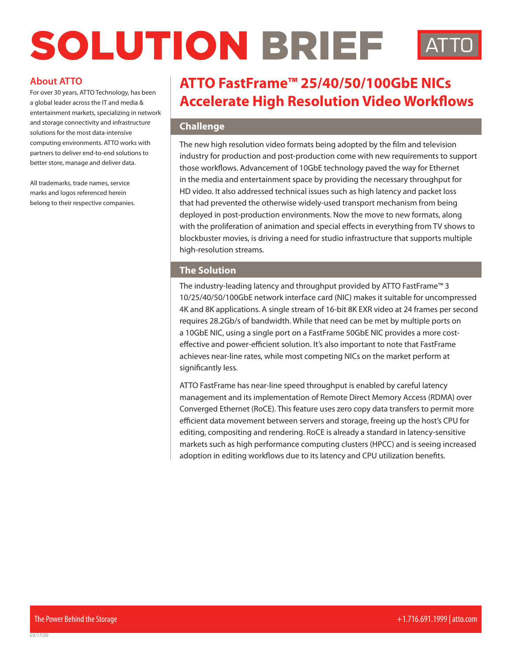# SOLUTION BRIEF

# **About ATTO**

For over 30 years, ATTO Technology, has been a global leader across the IT and media & entertainment markets, specializing in network and storage connectivity and infrastructure solutions for the most data-intensive computing environments. ATTO works with partners to deliver end-to-end solutions to better store, manage and deliver data.

All trademarks, trade names, service marks and logos referenced herein belong to their respective companies.

# **ATTO FastFrame™ 25/40/50/100GbE NICs Accelerate High Resolution Video Workflows**

### **Challenge**

The new high resolution video formats being adopted by the film and television industry for production and post-production come with new requirements to support those workflows. Advancement of 10GbE technology paved the way for Ethernet in the media and entertainment space by providing the necessary throughput for HD video. It also addressed technical issues such as high latency and packet loss that had prevented the otherwise widely-used transport mechanism from being deployed in post-production environments. Now the move to new formats, along with the proliferation of animation and special effects in everything from TV shows to blockbuster movies, is driving a need for studio infrastructure that supports multiple high-resolution streams.

#### **The Solution**

The industry-leading latency and throughput provided by ATTO FastFrame™ 3 10/25/40/50/100GbE network interface card (NIC) makes it suitable for uncompressed 4K and 8K applications. A single stream of 16-bit 8K EXR video at 24 frames per second requires 28.2Gb/s of bandwidth. While that need can be met by multiple ports on a 10GbE NIC, using a single port on a FastFrame 50GbE NIC provides a more costeffective and power-efficient solution. It's also important to note that FastFrame achieves near-line rates, while most competing NICs on the market perform at significantly less.

ATTO FastFrame has near-line speed throughput is enabled by careful latency management and its implementation of Remote Direct Memory Access (RDMA) over Converged Ethernet (RoCE). This feature uses zero copy data transfers to permit more efficient data movement between servers and storage, freeing up the host's CPU for editing, compositing and rendering. RoCE is already a standard in latency-sensitive markets such as high performance computing clusters (HPCC) and is seeing increased adoption in editing workflows due to its latency and CPU utilization benefits.